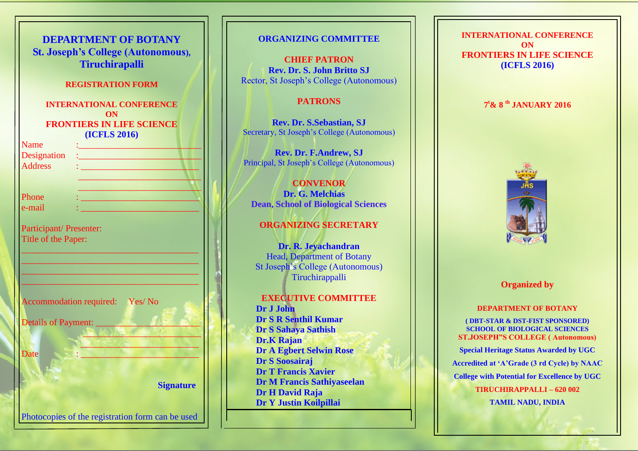| <b>DEPARTMENT OF BOTANY</b><br><b>St. Joseph's College (Autonomous),</b><br><b>Tiruchirapalli</b> |                  |
|---------------------------------------------------------------------------------------------------|------------------|
| <b>REGISTRATION FORM</b>                                                                          |                  |
| <b>INTERNATIONAL CONFERENCE</b>                                                                   |                  |
| ON<br><b>FRONTIERS IN LIFE SCIENCE</b><br>(ICFLS 2016)                                            |                  |
| <b>Name</b>                                                                                       |                  |
| Designation                                                                                       |                  |
| <b>Address</b>                                                                                    |                  |
|                                                                                                   |                  |
| Phone                                                                                             |                  |
| e-mail                                                                                            |                  |
|                                                                                                   |                  |
| Participant/ Presenter:<br>Title of the Paper:                                                    |                  |
|                                                                                                   |                  |
|                                                                                                   |                  |
| Accommodation required: Yes/No<br><b>Details of Payment:</b>                                      |                  |
|                                                                                                   |                  |
| Date                                                                                              |                  |
|                                                                                                   | <b>Signature</b> |
| Photocopies of the registration form can be used                                                  |                  |

# **ORGANIZING COMMITTEE CHIEF PATRON Rev. Dr. S. John Britto SJ** Rector, St Joseph's College (Autonomous) **PATRONS Rev. Dr. S.Sebastian, SJ** Secretary, St Joseph's College (Autonomous) **Rev. Dr. F.Andrew, SJ** Principal, St Joseph's College (Autonomous) **CONVENOR Dr. G. Melchias Dean, School of Biological Sciences ORGANIZING SECRETARY Dr. R. Jeyachandran** Head, Department of Botany St Joseph's College (Autonomous) **Tiruchirappalli EXECUTIVE COMMITTEE Dr J John Dr S R Senthil Kumar Dr S Sahaya Sathish Dr.K Rajan Dr A Egbert Selwin Rose Dr S Soosairaj Dr T Francis Xavier Dr M Francis Sathiyaseelan Dr H David Raja**

**Dr Y Justin Koilpillai**

**INTERNATIONAL CONFERENCE ON FRONTIERS IN LIFE SCIENCE (ICFLS 2016)**

## **7 <sup>t</sup>& 8 th JANUARY 2016**



## **Organized by**

## **DEPARTMENT OF BOTANY**

**( DBT-STAR & DST-FIST SPONSORED) SCHOOL OF BIOLOGICAL SCIENCES ST.JOSEPH"S COLLEGE ( Autonomous)** 

**Special Heritage Status Awarded by UGC**

**Accredited at 'A'Grade (3 rd Cycle) by NAAC**

**College with Potential for Excellence by UGC**

**TIRUCHIRAPPALLI – 620 002 TAMIL NADU, INDIA**